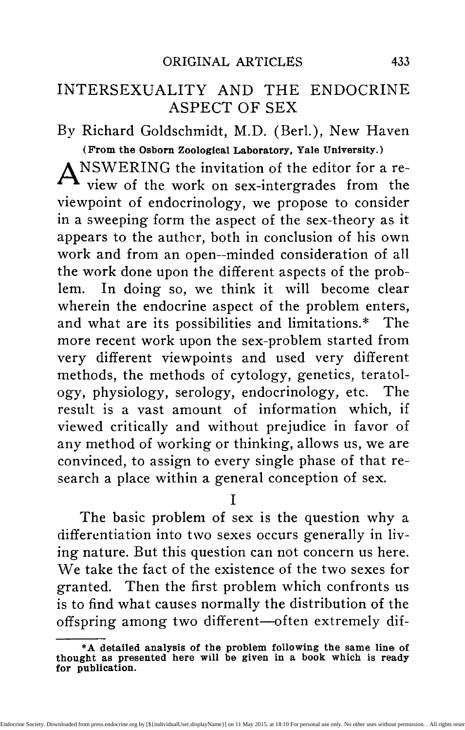# INTERSEXUALITY AND THE ENDOCRINE ASPECT OF SEX

By Richard Goldschmidt, M.D. (Berl.), New Haven (From the Osborn Zoological Laboratory, Yale University.)

A NSWERING the invitation of the editor for a re view of the work on sex-intergrades from the viewpoint of endocrinology, we propose to consider in a sweeping form the aspect of the sex-theory as it appears to the author, both in conclusion of his own work and from an open—minded consideration of all the work done upon the different aspects of the problem. In doing so, we think it will become clear wherein the endocrine aspect of the problem enters, and what are its possibilities and limitations.\* The more recent work upon the sex-problem started from very different viewpoints and used very different methods, the methods of cytology, genetics, teratology, physiology, serology, endocrinology, etc. The result is a vast amount of information which, if viewed critically and without prejudice in favor of any method of working or thinking, allows us, we are convinced, to assign to every single phase of that research a place within a general conception of sex.

I

The basic problem of sex is the question why a differentiation into two sexes occurs generally in living nature. But this question can not concern us here. We take the fact of the existence of the two sexes for granted. Then the first problem which confronts us is to find what causes normally the distribution of the offspring among two different—often extremely dif-

<sup>\*</sup>A detailed analysis of the problem following the same line of thought as presented here will be given in a book which is ready for publication.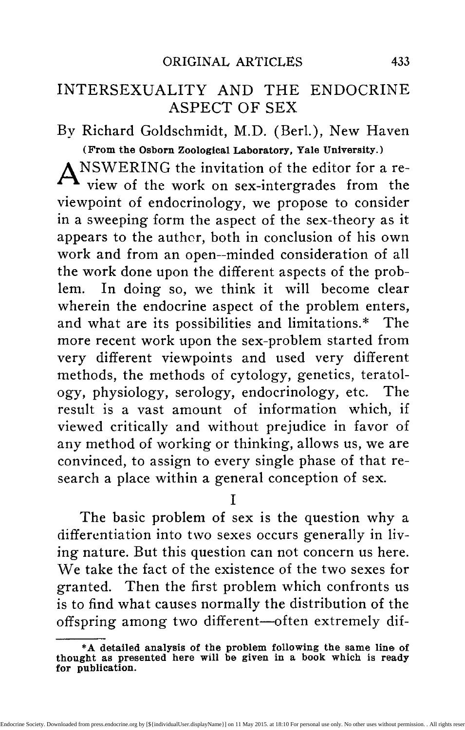ferent—types of individuals, males and females. This is the problem of the mechanism of the distribution of sex, a problem which is today as completely solved as it is possible within biology. We know that this mechanism is furnished by the existence of two types of gametes in one sex, namely in the male sex, of flies, grasshoppers, mammals, man, and in the female sex of moths and birds, whereas the opposite sex forms only one type of gametes. We know by hybridization experiments that this corresponds closely to the gametic mechanism, which produces the two parental types in equal numbers, when a homozygous form aa, forming only gametes a, is mated to a heterozygous form aA, forming gametes both A and a, the result of the mating being again  $\frac{1}{2}$ aa and  $\frac{1}{2}aA$ . We know further by the cytological work of the past fifteen years that the sex-chromosomes (or X-chromosomes) are visible cell elements which correspond exactly in their behavior to the necessities of a sexdifferentiator by being present in one sex, the homogametic (XX), in every sex-cell, in the other, the heterogametic sex  $(XY)$ , in only half of the gametes. We know every phase of the history of these sexchromosomes and their behavior throughout the life cycle of the two sexes, every single fact pointing to the idea that they really are or carry the sex-differentiators. We may even state, without running the risk of exaggeration, that the theory which regards the distribution of the XX- and XY-combinations to about equal numbers of fertilized eggs as the visible mechanism of sex-distribution, is today so far proven, that the demonstration stands on the level of an experimental proof in physics or chemistry. The main points which justify this conclusion are: 1. The in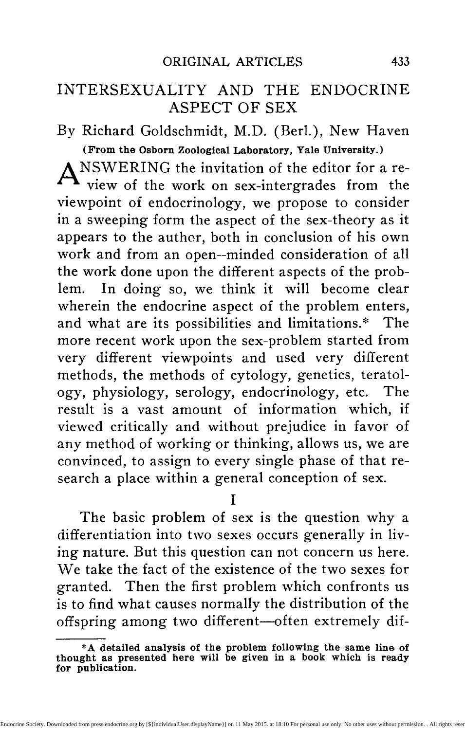numerable morphological studies, which in every case that proved favorable to study, found the facts about the sex-chromosomes in accordance with the theory. 2. The cytological study of cases of abnormal sexdistribution, as in Aphids, Nematodes, Hymenoptera, Rotifers, where the behavior of the sex-chromosome fits completely the expectation, although very different ways lead to the result. 3. The cytological study of forms like the moth, which had been proven by experimental breeding to be heterogametic in the female sex, whereas all the forms in which the chromosome mechanism had been studied exhibited male heterogametia. As expected those forms were proved to form two kinds of eggs in regard to the X-chromosomes. 4. The facts about the relation of parthenogenesis to sex, of twinning and polyembryony and about sex-mosaics (gynandromorphism) which are all perfectly clear under the aspects of the sexchromosome theory, but unaccountable otherwise. 5. The study of sex-linked inheritance, which showed that those characters which go in heredity with the sex distribution—both in male and female heterozygosis—follow exactly the distribution of the sexchromosomes in which they must, therefore, be located. 6. The admirable studies on non-disjunction, which prove that in cases of (visible) abnormal distribution of the sex-chromosomes, all the characters which are known to be sex-linked, show special types of inheritance, which coincide exactly with that abnormal distribution, thus showing beyond a shadow of a doubt their location within the sex-chromosome.

We consider, therefore, in agreement with practically all biologists, whose personal experience in both genetics and cytology give special weight to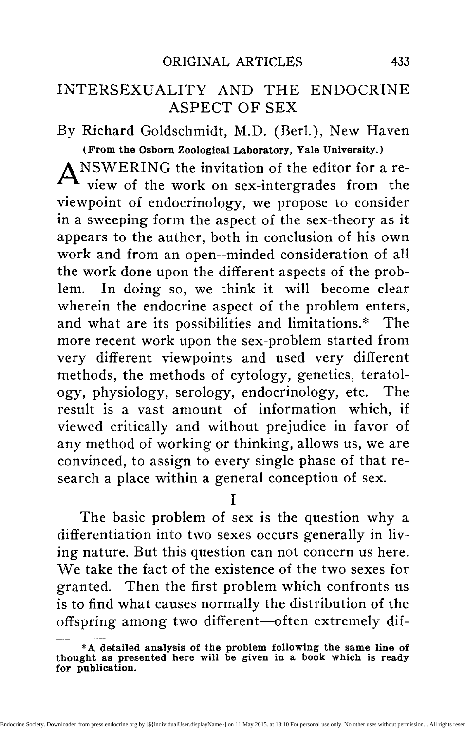#### 436 ENDOCRINOLOGY

their opinion, that the mechanism of sex-distribution is known. Every further construction within the theory of sex has to be built upon this basis.

II

The knowledge of the mechanism which distributes in the right way those things which are responsible for the ultimate differentiation of male and female sex might be compared with information about the system of tracks and switches within a railroad station, which direct the trains into their different directions. But this knowledge does not furnish any information about the material, the destiny, the loads, or the moving power of the trains. So the next problem in regard to sex is to find out what is moved by the distributing mechanism and how it brings about the differentiation of one or the other sex. The problem of the mechanism of sex-distribution is followed by the problem of the physiology of sex-differentiation. The answer which is usually given as a solution of this problem is, that the sex-chromosomes carry a Mendelian factor, a sex-differentiator. But this solution is not satisfactory, first, because of being only formal and symbolic and referring the question to another unknown quantity; second, because, when worked out in detail, it leads into difficulties, which long since have convinced many cytologists and geneticists that not only the quality of the sex-factor but the quantity of the X-chromosome-substance must be the decisive fact; third, because we can not get around the fact that both sexes contain the anlagen of either sex, which can make their visible appearance irrespective of the gametic or zygotic constitution of the individual under certain experimental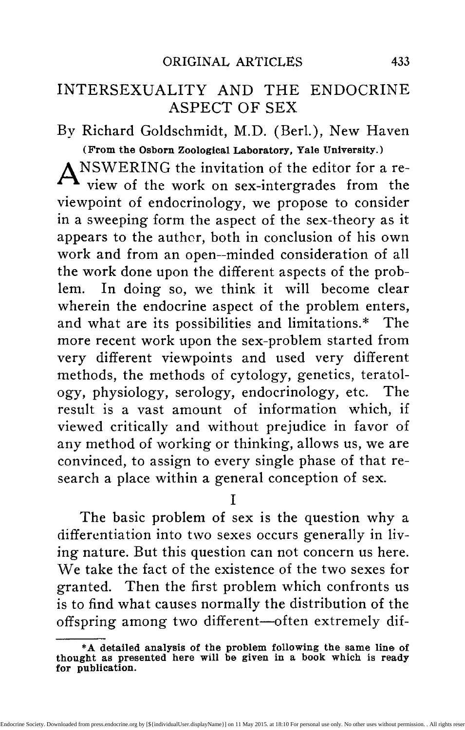conditions. We believe that these difficulties have been overcome now and the way towards a physiological understanding of sex-differentiation been cleared by the work on inter-sexuality.\*

### Ill

In order to make clear the relation of the facts of intersexuality to the mechanism of sex-distribution on one side and to the hormonic aspect of sex-differentiation on the other, one point has to be called first to the attention. We know that, in the animal kingdom at least, two types are found in regard to the differentiation of sex-characters (probably also in other processes of growth and differentiation). The one type present in insects, excludes the participation of endocrine activities of the sex-glands in the process of sex-differentiation. Castration or transplantation and transfusion experiments with gonads, blood, body extracts are without influence upon the differentiation of sex-characters. The decision is irrevocably reached at the moment of fertilization. (1) In the other group, however, including birds and mammals, the differentiation of the sex-characters is linked with the endocrine activities of the sex-glands, exactly as growth and metabolism are linked with other endocrine organs, as is proved by the wellknown results of castration and transplantation. It is clear that it will be easier to derive the basic conceptions from the simpler case of insects. (2)

Our experiments, performed with races of the gipsy-moth, have enabled us to get under perfect ex-

**<sup>\*</sup>We have proposed the use of the terms intersexe, intersexual, intersexuality instead of sex-intergrades because the former terms can be used in all scientific languages, whereas the latter must be translated, e. g., Sexuelle Zwischenstufen" in German.**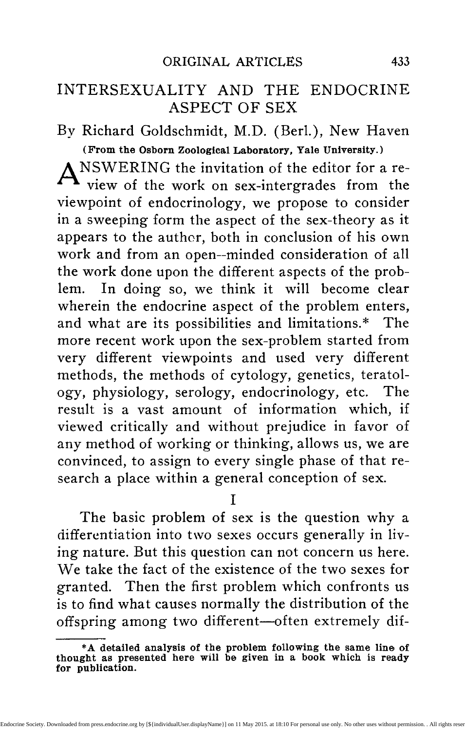perimental control the production of intersexuality. (3) By building up definite combinations of races by means of cross breeding, we are able to produce without failure and in the expected numerical relations every single intergrade leading from a normal female to a male or vice versa, the end points, of course, being the complete transformation of a (genetically) would-be female into a male and a wouldbe male into a female. Without going into details, we might point to some steps in the analysis of the phenomenon, which justify the conclusions in regard to the problems of this essay. The normal mechanism of sex-distribution in this moth is that of female heterogametia, fertilization resulting in about equal numbers of male and female offspring. All of the races involved behave perfectly normally in this respect. But whereas certain crosses between different races are also normal, others invariably give an abnormal result: the cross A-female times B-male gives normal offspring, but B-male times A-female gives all males normal, all would-be females intersexual. In other crosses with other races the opposite happens, all males are intersexual, all females normal. It could be shown then that the degree of resulting intersexuality is constant for a given combination; e. g. the female of race A will give all normal offspring with a male race M; but with the male N all would-be females will be slightly intersexual, exhibiting certain male characters; with the male O, all would-be females will be intersexual midway between the two sexes; with the male of race P, all would-be females will be high grade intersexuals, almost transformed into males; and with the male race Q, only males will be produced, although half of them are genetically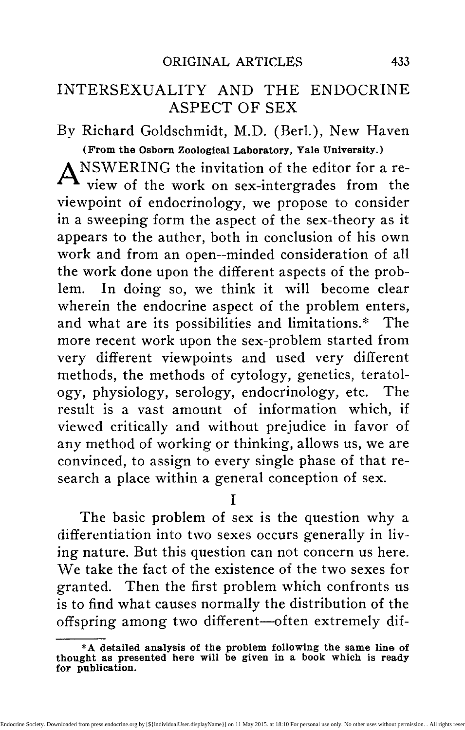females. If we breed now another race B as female to all these males a similar series will be produced, but it might reach with the male O the point of complete transformation of all would-be females into males.

These facts and their further genetic analysis show that every individual is able to develop into one sex or the other or any stage between; further that every individual contains all the elements necessary for the development of either sex and its attributes; further that these elements or substances must have a certain quantitative relation to each other in order to secure to one of them the control of development; and that the introduction of quantities in a cross which do not fit the given quantity of the other partner set up the sex-differentiation in favor of the higher quantity. The analytical experiments proved then that the substances which control male differentiation follow the distribution of the sex-chromosomes and must therefore be considered to be carried by them. Whereas the substances controlling female differentiation are always transmitted maternally, that is, from mother to *tgg.* From this it follows, that the mechanism of distribution of the sex-chromosomes results (in the case of female heterozygosis) in distributing to half of the fertilized eggs twice the quantity of the substance which causes male differentiation as to the other half, whereas the substance for female differentiation is constant in all cases. And as the tide of differentiation can be changed in favor of one sex and in a quantitatively increasing series, without any change in the mechanism of the chromosome-distribution it follows, that irrespective of this constitution the decision lies with the respective ab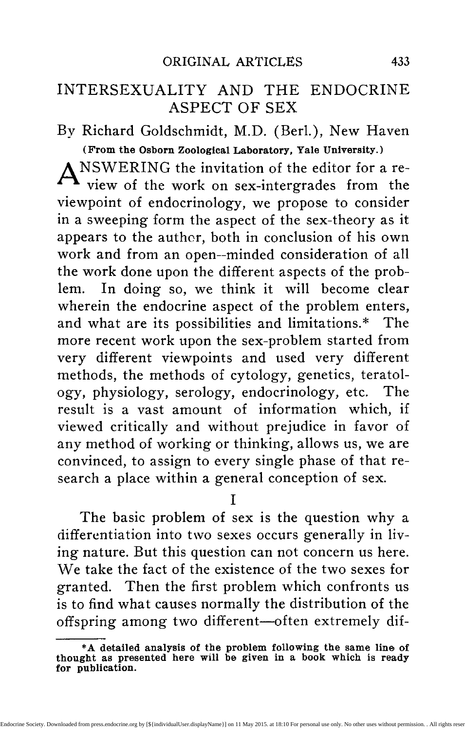solute quantities of the two sex-substances; the greater quantity wins more or less completely.

But how can we conceive that the greater quantity acts in determining one sex or an intergrade between the two sexes? A careful analysis of the intersexual individuals has given the clue. In studying the different types of male or female intersexuality, we find that not every organ exhibits a definite type between the two sexes, say all of them half or one third between the characters of the sexes. The grade of intersexuality is, moreover, a statement applying to the condition of the animal as a whole. But the different organs are not alike. One organ is already say completely male, another still female, a third female at the base, male at the end. Now it could be proven that the organs or parts of organs which become first changed towards the opposite sex are the ones which are last in embryonic development and the ones which are transformed only in the last steps of intersexuality are the first differentiated embryologically. For example, the sex gland, which is differentiated very early, is transformed into a gland of the opposite sex only when all the somatic organs are already changed. And it is shown from the complete analysis of such facts, that in case of female intersexuality—the other way in male intersexuality—all organs develop female up to a certain turning point, when suddenly the development proceeds under the aspects of male differentiation. Therefore all organs differentiated when the turning point occurs are female, the ones which differentiate later are male, and the ones differentiated over the entire period start female and end male. Thus the degree of intersexuality is determined by the more or less early position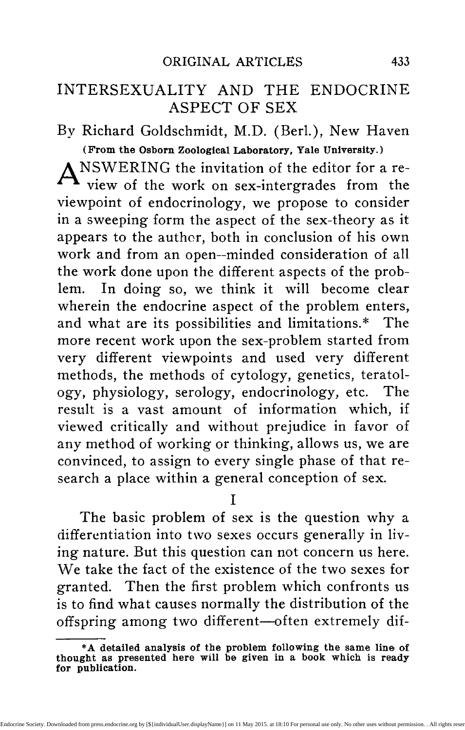of the turning point in development. There we have a time coefficient coordinated with the quantitative differences in the amount of sex-differentiating substances, i. e., these are substances which increase the velocity of a reaction proportional to their quantity. It seems safe therefore to ascribe to them at present the character of enzymes.

The complete analysis of experimental zygotic intersexuality—zygotic because the result is determined at the moment of fertilization—has taught us then what the mechanism of sex-distribution by means of the sex-chromosomes means physiologically : the adjustment of the relative quantities of male and female enzymes, thus assuring to one the greater velocity of reaction. But there is now a limit to our analysis. We see no means of ascertaining what kind the reaction is which is brought about, or, in the language of chemistry, the velocity of which is influenced by the concentration of the enzymes. But the answer can be given, we believe, by the facts about hormonic miersexuality.

### IV

It is well known to every student of biology and physiology that in the higher vertebrates, at least birds and mammals, the endocrine function of the sex-gland plays an important role in the development of secondary sex-characters. Early castration in mammals prevents the normal development of the visible characters, and results in the assumption even of the male secondary characters by female birds. Successful early transplantation of the heterologous gonad makes either sex assume to a more or less complete degree the characters of the other sex.  $(4)$  We might call this already the production of hormonic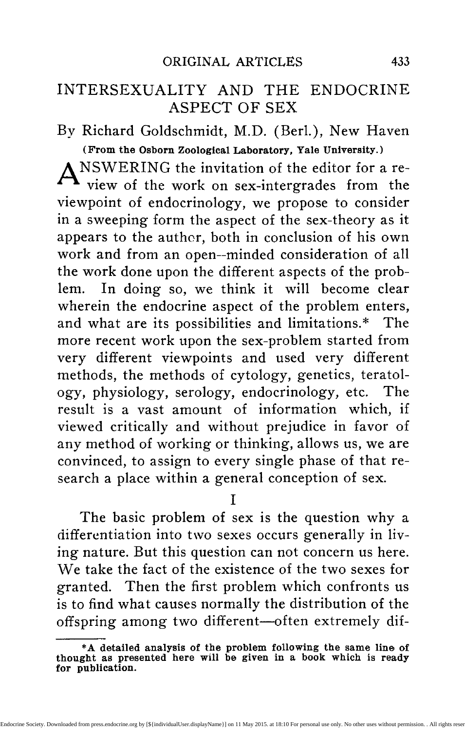intersexuality, which of course appears only in those organs which are physiologically able to change under the influence of hormones, irrespective of the genetic constitution in regard to sex. But the methods which have to be used exclude a complete experiment in intersexuality, where the entire body, including sex-glands, ducts, etc., must react. Fortunately nature has performed such an experiment for us, as F. R. Lillie's recent analysis of the case of the free-martin has revealed. (5) Among twin calves, cases of normal male and female are very rare. If both are not of the same sex, in most cases a normal male is combined with an abnormal "hermaphroditic" female, the freemartin. It is now proven that this freemartin is a typical case of hormonic intersexuality. Lillie could show that in this—and only in this—case an anastomosis between the blood vessels of the twins occurs, so that the same blood flows through both. In the male partner, the testis, with its interstitial tissue, develops first, when the ovary of the female has not yet reached the stage of endocrine function. So the female comes under the influence of the male hormones, the ovary stops differentiation and all the sex-characters develop further in the male direction. The result is the freemartin, a calf with very much female external sex-organs, almost male sexual ducts and a sex-gland containing sperm tubules but without spermatogenesis.

If we compare now this case of true hormonic intersexuality with the zygotic intersexuality of the moth, we see at once that the "turning point" from which sexual differentiation changed in the latter case corresponds exactly to the moment in the case of the freemartin, when the male hormones are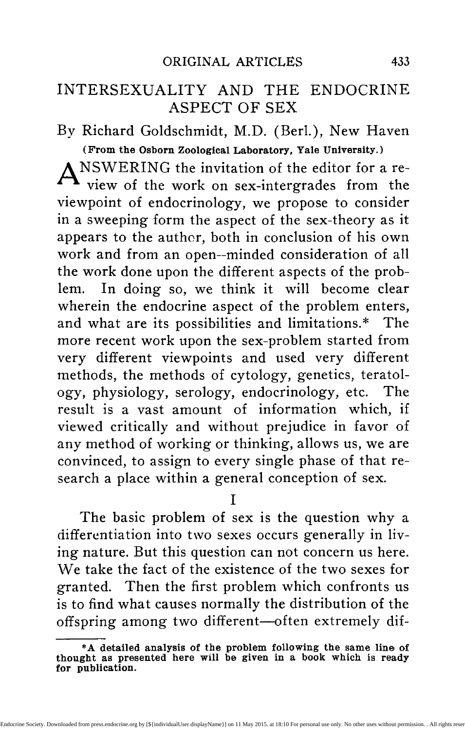poured into the blood of the female. Comparing the facts carefully we feel justified therefore in giving the following answer to our former question: Of what kind is the reaction accelerated by the action of the sex-enzymes with a velocity proportional to their concentration? The reaction is the production of the specific hormones of sexual differentiation. In insects this occurs in every single cell of the body as an irreversible consequence of the combination in fertilization. In the higher vertebrates the reaction becomes more or less centralized within the interstitial tissue of the sex glands.

We have purposely dismissed with a few general words the work on castration and transplantation in birds and mammals in order not to interrupt our general line of argument. But we must now draw attention to the fact that some complication comes in here which is not at present completely understood. We mean the complexity of the action of the hormones of the sex-gland on one side and their relation to the genetic (chromosomal) constitution of the cells upon which they act. We have pointed out that the action of these hormones is required when the sex-characters are to differentiate normally. This fact is proved by the castration experiments in mammals, resulting in the failure of further sexual differentiation, and, furthermore, by the case of the freemartin. But there exists another activity of the hormones of the sexgland, namely the inhibition of the sex-characters of the other sex. This is proved by the cock-feathering of old female birds and the fact that castration in female birds makes them assume the characters of the male sex. And this shows again that in these higher vertebrates sexual differentiation is possible without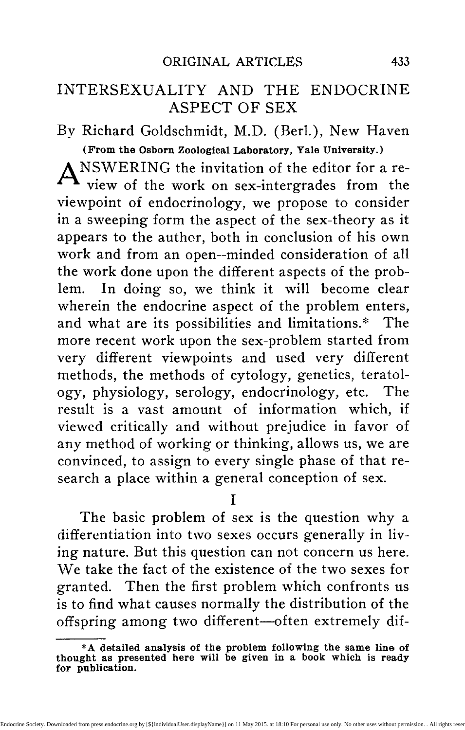specific hormonic action. The latter point is further proved by the fact that in birds typical bilateral gynandromorphs exist, that is, birds with female characters on one side and male characters on the other side of the body. We know from the study of gynandromorphs in insects that they are produced by an abnormality in the distribution of the chromosomes, resulting in the presence of the female set in one half of the body and the male set in the other half. In these gynandromorphous birds the hormones, whatever they are, must be present everywhere in the body; if they were the exclusively decisive factor, no gynandromorphs would occur. To make the case still more complex, gynandromorphic birds are known with an intricate pattern of male and female characters (7); and finally, others are known which, together with the rhythmical change of sexual plumage during one of the breeding seasons, exhibit in certain feathers a mosaic-like admixture of the characters of the other sex. And finally we have the case of  $\mu$ e Sebright-Bantams, fowl where the roosters are normally hen-feathered. But when these roosters are castrated they develop normal cock-feathering! (8) No doubt this short account already shows the existence of an immense complexity, which cannot be regarded as easily to be disentangled. But we may state in what manner we think the facts may be brought together. We assume that in birds the genetic situation is the same as it is in insects. From the moment of fertilization, every cell contains the two enzymes of sexual differentiation which, in proportion to the quantity in which each is present, accelerate within every cell the production of the hormones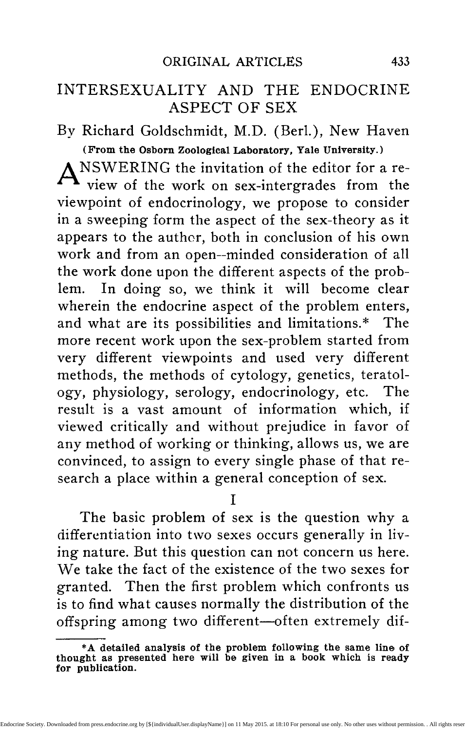of sexual differentiation. But there is one principal physiological difference between the insects and birds: in the former the embryonal and larval development ends with one short period of sexual activity after which the animal dies; in the latter, however, a comparatively long period is necessary before the condition of sexual maturity, which then lasts for several years, is reached. If the conditions were alike in the two cases, then every bird would change its sex during its lifetime, that is, it would become intersexual when the amount of the hormones of the other sex within the cells reached a certain mark. This is, however, prevented by the additional phenomenon of the endocrine production of an inhibitory hormone for the characters of the other sex. This specific endocrine function is based on the presence of a sex-limited or, as we prefer to say, sex-controlled factor, as can be deduced from Morgan's Sebright-Bantam crosses. Thus we may account, at least in principle, for the cases in birds, although additional hypotheses will be necessary for special cases like the Sebright-Bantams or the rhythmical breedingplumage of some birds.

In mammals, however, a further advance seems to have been made in the direction of centralization of the control of the process of differentiation. Here the production of the hormones of sexual differentiation seems to have been shifted from the individual cells to a special endocrine organ, the interstitial tissue of the sex-glands,—a fact most convincingly shown in the case of the freemartin. Castration alone, therefore, can not induce the development of the other sex-characters; that can be accomplished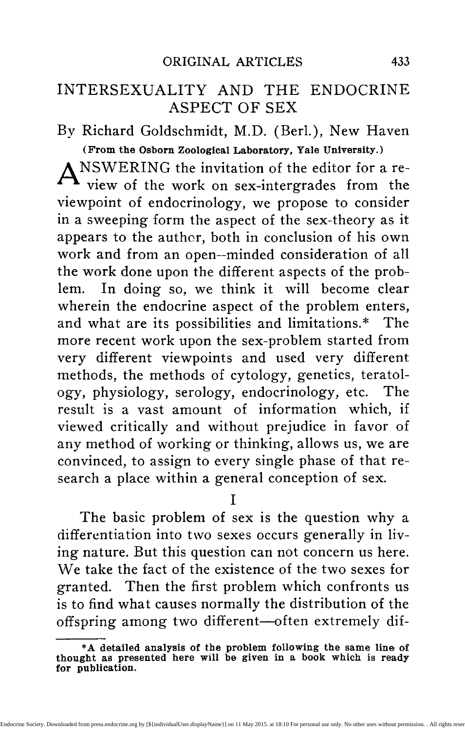only by the transplantation of heterologous gonads. And gynandromorphism seems to be impossible. Finally we repeat that these views can be regarded as provisional only and that much experimental work is still needed here.

 $\overline{V}$ 

Although no other cases of zygotic and hormonic intersexuality are known, where a complete genetic and embryological analysis was possible, the phenomenon will certainly be produced in many other cases. Collectors of insects have often described freaks, which probably are intersexual individuals (not to be confused, however, with gynandromorphs, which are a very different thing); and at least one instance is known where some of the steps produced in our experiments could be duplicated, as in Harrison's crosses of species of the moth Biston. Another instance is found in Daphnids, where Banta (9) found recently a strain throwing constantly intersexuals through many generations, although no experimental control was yet possible. Further the teratology of birds, mammals and man has furnished a considerable number of cases of so-called hermaphroditism and pseudohermaphroditism, many of which are probably cases of hormonic intersexuality, (10) judging from a comparison with the freemartin.\*

<sup>\*</sup>Some authors claim that the presence of perverse mating in- stincts is a type of intersexuality. Halban and others claim it for the case of man, Riddle for cross-bred pigeons, which are supposed to exhibit the perversion more regularly than normal pigeons do, as well as dogs, cows, etc. The possibility of such an explanation can not be denied; but the claim can only be regarded as justified when it is shown that perverted sex-instincts, though permitting also a normal mating, and combined with complete normality of primary and secondary sex-organs, are the starting point or end point of a graduated series of somatic intersexuality. No such evidence is yet available and the behavior of those instincts in intersexual moths— the only completely analyzed instance—is not in favor of such a view.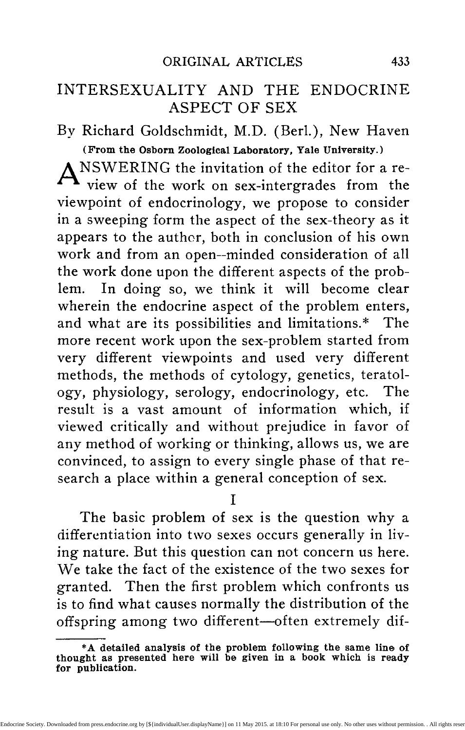But there are other instances of abnormal sexuality known which we feel justified in considering as further types of intersexuality and which will throw further and important light on the problem. There is first the important case of the Gephyrean worm, Bonellia, as analyzed by Baltzer. (11) Bonellia is well known as the prototype of extreme sexual dimorphism: the female is an animal with a plum-like body to which a very long proboscis is attached, the male is a minute animal of the size of an infusorium, with a rudimentary organization, living within the uterus of the female. If a young larva attaches itself to the proboscis of an adult female and lives there '"parasitically" for some time, it develops invariably into a male. Otherwise the larva stays in an indifferent state for some time and then becomes female in the majority of cases. If, however, the experimenter interrupts the "parasitic" stage at different times, individuals develop with different mixtures of male and female characters, that is, intersexual individuals. But there are a few more details which are important for the interpretation of the case. Among the larvae which develop into females, the ones which are late in development, form first sperm, before they become female. Further, a short stage in the parasitic condition accelerates development though it might be female. Then the combination of male and female organs in the intersexes is not orderless, but it seems that the stage of differentiation at the moment of the "turning point" (the interruption of parasitic life) determines the combination. Here we see at once a parallel to the other cases of intersexuality, which suggests the following interpretation: If we wanted to make a decisive experimentum crucis in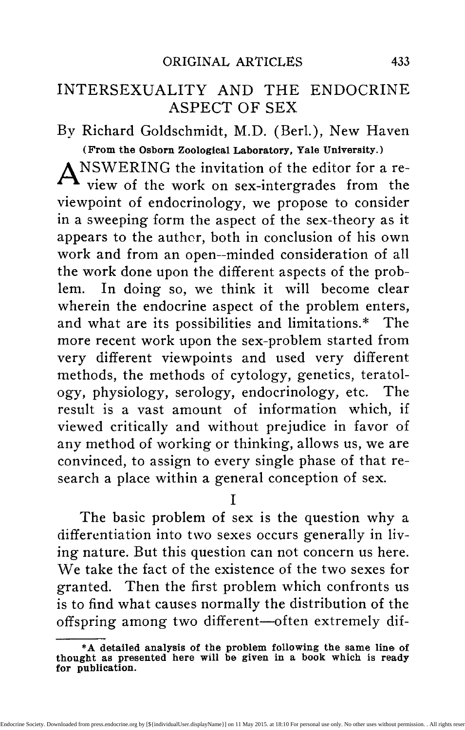regard to the theory of the quantitatively regulated sex-enzymes, it would be, to find a method which accelerates or retards the velocity of growth and differentiation of the individual without influencing the velocity of reaction of the sex-enzyme. Such a method would enable us to force the processes of differentiation into the time when the male or female hormones are set free and therefore to make any individual as intersexual as we like. It seems that Bonellia performs this experiment, furnishing the acting substance by the secretion of the proboscis. The interpretation of the case would be, therefore: In the fertilized eggs of Bonellia, which probably are genetically alike, the relation between the velocity of reaction of the sex-enzymes and the velocity of embryonic differentiation is such that a very slow rate of differentiation is confronted with a system of sexenzymes possessing a high concentration of the male and a low concentration of the female enzyme. In normal development, the time of differentiation of most organs lies beyond the point of the late production of female hormones and the animal is therefore female. The function of the secretion of the proboscis is an acceleration of the rate of differentiation, just as, for example, the hormones of the thyroid act upon the metamorphosis of the frog; differentiation then falls within the time of action of male hormones, the female hormones not yet being present at all. And an incomplete acceleration of the rate of differentiation produces intersexuality, i. e., differentiation first under male then under female hormonic conditions. We might therefore call this type intersexuality by activation. The secretion of the proboscis, activating the rate of differentiation, might be regarded as hor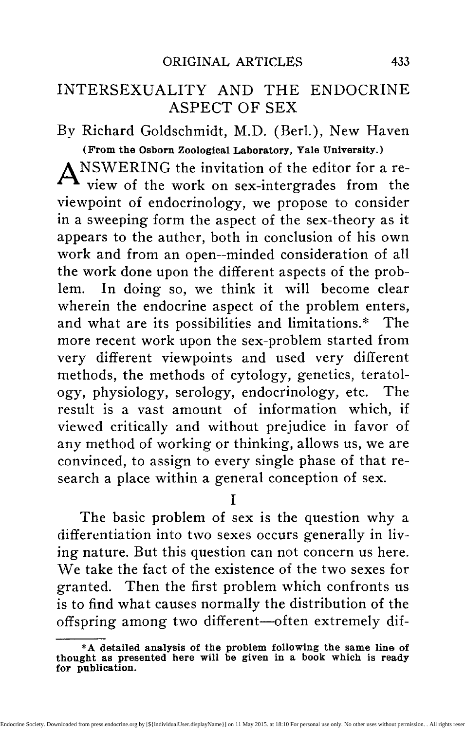monic (although exocrinic) just as the similar action of the thyroidea. It need hardly be added that this hormonic function has nothing to do with the sexhormones.

Another phenomenon should at least be mentioned in this connection,—the so-called protandric hermaphroditism of parasitic crustacea and certain molluscs. In the case of crustacea the simplest type many others exist—is that the individual develops as a male and later, after having fulfilled as such his functions, begins a parasitic life and is transformed into a female. (12) Gould (13) has described a very similar case in the mollusc Crepidula plana, although no parasitism is here concerned. His experiments, however, show that the development of the male phase of an individual is induced by the presence of larger individuals of either sex. Even female individuals may develop male organs to a certain extent under such circumstances. A similarity is certainly exhibited here to the case of Bonellia, although the details are not so clear.

## VI

There is another case of intersexuality which has to be regarded as a special case of zygotic intersexuality. This is the case of the frog, as analyzed by R. Hertwig and his students. (14) Here it is possible to produce by certain combinations of races (some races exhibit the same phenomenon in nature) animals which have first an ovary which is gradually changed into a testis during development. We refrain from reporting the complicated details of the important work, as there is no other endocrine aspect of this case of "transitory intersexuality" than the one common to all cases of zygotic intersexuality.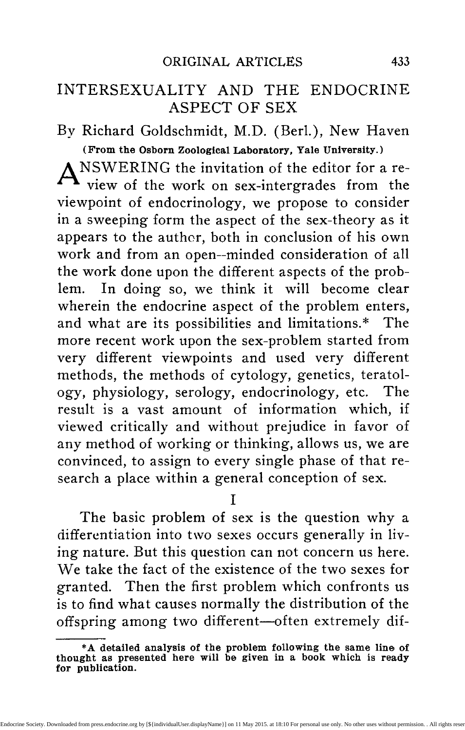But another type of intersexuality can not be passed by, the intersexuality as consequence of parasitic castration, because it has been used as a starting point of attack against the hormonic interpretation of sex. (15) The male crab Inachus, if parasited by Sacculina assumes secondary sex-characters of a female and even eggs are formed within the testis. This is, of course, male intersexuality. But the parasited female does not change correspondingly. G. Smith, who analyzed this case, sees the cause of this change of the male towards femaleness in the influence of the parasite upon the fat-metabolism of the host, the metabolism assuming the female type. He doubts, therefore, an endocrine influence upon sexdifferentiation and adheres to a theory of metabolic stimulation. The parasite as well as the presence of the ovary push the metabolism in the direction of fat-production, as can be demonstrated. Fat constitutes the nutritive material for the eggs and therefore the male sex-cells in the parasited animal grow into eggs.

The last conclusion can be disproved by some facts from our experiments in intersexuality. The normal female caterpillar stores vast amounts of fat, which are used in building up the eggs during pupal life. If now female intersexuality is of such a type that the turning point coincides about with the time of pupation the animal has the large abdomen of the female with all its nutritive material. But then male differentiation begins and no eggs develop in the ovary, which does not grow beyond the larval stage. The hatching intersexual female then possesses the large female abdomen filled with blood rich in fat which could nevertheless not induce the young eggs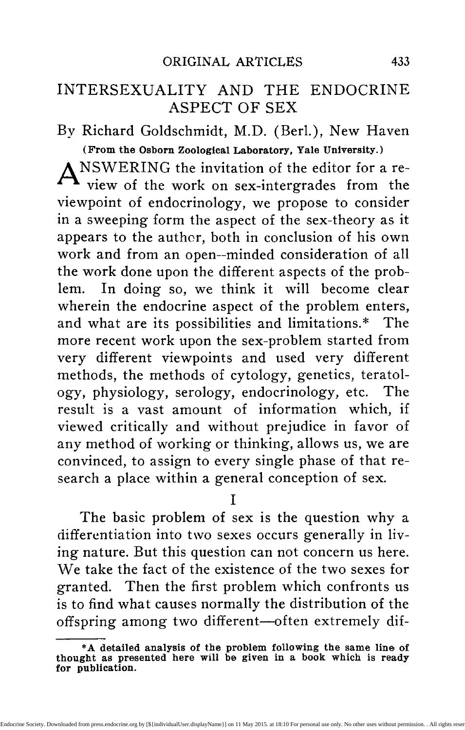to grow and fill out the abdomen; the presence of the male hormones after the turning point preventing it.

We further fail to see how the facts about parasitic castration could be used against the endocrine aspect of sex-differentiation. A different type of metabolism in regard to the sexes is well known for many classes of animals, even a different protein specifiicity, as shown by precipitin reactions. There is no reason for putting this difference upon another level than that of other sex-characters, but for the assumption that the hormones of sexual differentiation act upon the morphogenetic processes by the intermediary of a metabolic change. In view of the fact that all endocrine substances including those of the sex-glands, act in some way upon the general metabolism, such an assumption is certainly justified. And it would be in harmony with other physiological facts, e. g., the striking change of the type of metabolism in flies with the metamorphosis, according to Weinland (16) as compared with the influence of the thyroid on starting metamorphosis in frogs. (17) But this is a problem which concerns every phase of the physiology of development and the question of hormonic participation in the process.

We can hardly pass this metabolic aspect of our problem without referring shortly to views, which, in spite of some points of contact, seem to be in contradiction to the views which we derived from our work. We mean the work of Whitman and Riddle and Riddle on pigeons. (18) Riddle has revived the metabolic view of sex-determination which was held in pre-Mendelian, prechromosomal and prehormonic times. He assumes that the metabolic condition of the *egg* is responsible for the differentiation of sex.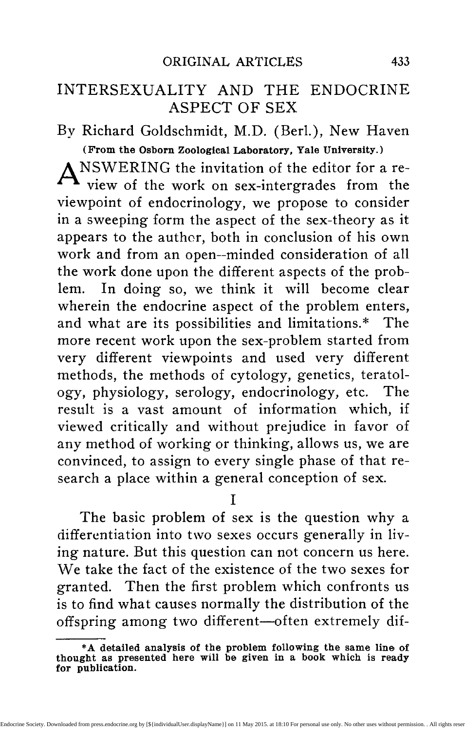The material on which he bases his views is genetic as well as physiological. The main genetic fact is, that from a family-cross of doves only males, and from a generic cross nearly all males are produced. But if reproductive overwork is forced upon these birds the early eggs produce mostly or only males, the later eggs mostly or only females. The chemical study of the eggs showed that their metabolic state or energy-content is correlated with the sex of the future animal in normal reproduction as well as in the above mentioned experimental conditions. Riddle seems therefore to believe that these metabolic conditions of the eggs are the basis of sex and controlling these conditions means the control of sex. In looking over all the facts regarding the mechanism and physiology of sex, we feel unable to agree with such a theory, although realizing the importance of the actual facts. One and the same *egg* of a Rotifer or a bee can develop into a male or female, the decision lying with parthenogenesis or fertilization; the same *egg,* however, can develop into a gynandromorph or mosaic of male and female parts of any mixture if fertilization is abnormal (the famous Eugster bees). (19) And nevertheless male and female bees are as different in regard to metabolism as any other animal on record (see Straus). (20) One and the same *egg* of the gipsy moth develops into a female, an intersexe of any description, or a male, the result depending exclusively upon the genetic constitution of the fertilizing sperm, viz., the sex-chromosomes of the sperm, as can be proven with mathematical certainty. In every case of male heterozygosis the situation is the same and the metabolic differences of the sexes are the consequence of the combination in fer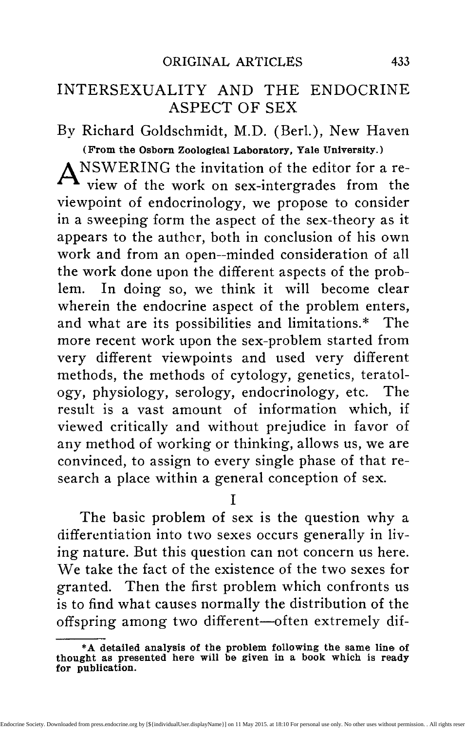tilization, not the cause. We feel justified, therefore, in rejecting a theory of sex, which makes metabolic differences the cause instead of one of the effects of sex-differentiation. We think, moreover, that the importance of that work on doves lies in another direction.\* It might belong to the same category of sexproblems as the overripeness experiments of Pfliiger, Thury, Hertwig, etc., as the relation of the visible differences in egg-size of Dinophilus to sex, as the problem of male- and female-producers in Aphids and Hymenoptera; the problem of influencing the chromosomal mechanism of sex-distribution; a problem which is certainly of the greatest cytological, physiological and practical interest.

### VII

We have tried to sketch the theory of sex as we see it, as the result of the different lines of research and our own work, and to assign to the endocrine aspects of the problem the right place within. We can hardly finish this very condensed review without pointing to the possibility of applying the same line of argument to the problem of heredity in general.\* (26) There is no logical reason for separating the difference in regard to sex from the other specific differences in living nature. The characters which distinguish sex are of the same order' as the characters which separate species, genera, families. They are size and shape, symmetry and subdivision, and all the results of differential growth; they are chemical qualities like pigmentation, and all the phases of metabolism; they are further the specificity of proteins. The

**<sup>\*</sup>See also Morgan's remarks in his paper quoted in Bib. 8. tA detailed presentation of the following views will be pub- lished as soon as conditions permit..**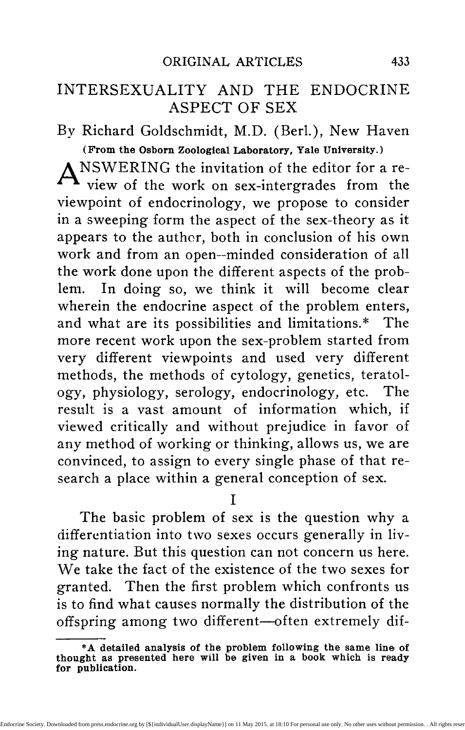mechanism of the distribution of the determinants of these characters in the process of heredity is in both cases the same, the distribution by means of the chromosomes. Then, just as the differentiation of sexual characters is influenced by endocrine action, important characters of general organization are influenced by the hormones of thyroid, hypophysis, etc., like growth, correlation of organs, metamorphosis, nervous functions, metabolism and instincts. We feel justified, therefore, in applying the same conceptions to all other processes of heredity which we were able to derive for the case of sex because all the differences occur within the offspring of the same parents. So we conceive of the mechanism and physiology of heredity thus: The fertilized *egg* furnishes in its protoplasm the chemical material and the physical substratum for the processes of growth and differentiation. The chromosomes furnish the determinants or factors for the specific direction of these processes, which make the offspring similar to the parents. These factors are enzymes, which are not only characteristic in regard to their quality, but which are handed over to the sex-cell in very exact quantities or concentrations. As the reactions accelerated by these enzymes take place with a velocity in proportion to their concentration, a very subtle mechanism is given for the production of definite reactions with a different velocity, thus assuring the always returning rhythm of differentiation. As only certain products of reaction will be influenced by the next working enzyme, localization is possible in addition to rhythm. And the reaction accelerated by the enzymes of heredity to a definite velocity, is the formation of hormones, directing growth, metabo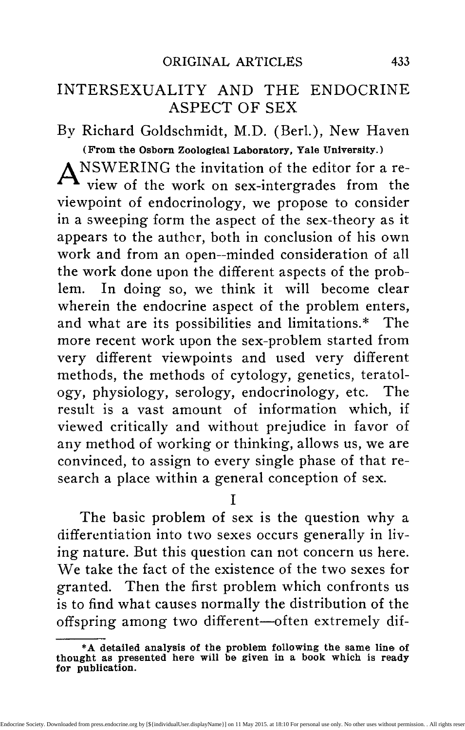lism and differentiation, similar in their action to the known hormones of the thyroid, hypophysis, etc. Thus the entire problem of heredity assumes at a certain point an endocrine aspect.

- REFERENCES<br>See Meisenheimer, I. Experimentelle Studien zur Soma-
- 1. See Meisenheimer, I. Experimentelle Studien zur Soma-<br>und Geschlechtsdifferenzierung. Jena, 1909.<br>Kopec, Untersuchungen über Castration und Transplan-<br>tation bei Schmetterlingen. Arch. Entwicklgsmech. 33,<br>1911.<br>2. See H
- die innere Sekretion der Keimdrüsen. Jena, 1914.<br>Tandler, E., and Grosz, S. Die biologischen Grundlagen<br>der secundären Geschlechscharaktere. Berlin, 1913.
	-
- 3. See our publications since 1911. The most recent are:<br>Experimental intersexuality and the sex-problem. Experimental intersexuality and the sex^problem. Amer. Natur. 50, 1916. A further contribution to the theory of sex. Jour. Exp. Zool. 22, 1917. A mono-graphic account of the entire work will be published as
- soon as conditions permit.<br>
4. Steinach, E. Willkürliche Umwandlung von Säugetier-<br>
männchen, etc. Pflüger"s Arch. 144, 1912. Feminier-<br>
ung von Männchen und Masculierung von Weibchen.<br>
Centralbl. Phys. 22, 1913.<br>
Goodale,
	-
- 
- -
- Genetics, 3, 1914.<br>
7. Bateson, W., and Rose Haig Thomas. Note on a pheas-<br>
ant showing abnormal sex-characters. Jour. of Genetics, 6, 1917.<br>
8. Morgan, Th. H. The theory of the gene. Amer. Natur.<br>
1917.<br>
9. Harrison, T. W
- 
- 

1914.<br>Banta, A. M. Sex intergrades in a species of Crustacea.<br>Proc. Nat. Ac. Sc. 1916.<br>10. See Neugebauer, F. L. von. Hermaphroditismus beim

Menschen. Leipzig, 1908.